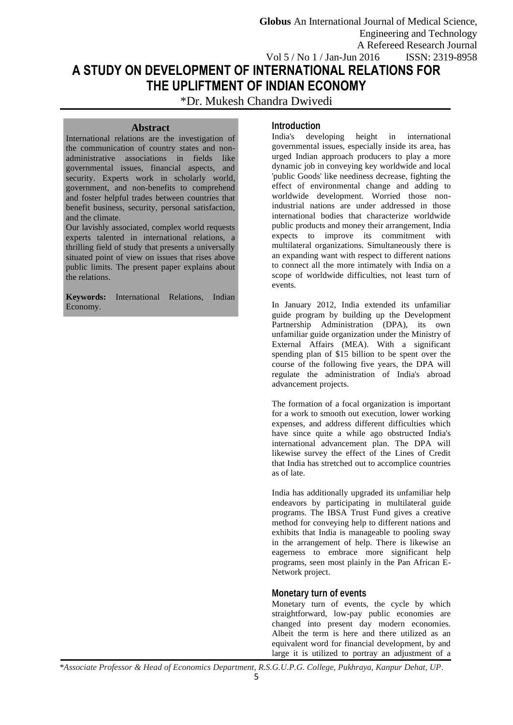**Globus** An International Journal of Medical Science, Engineering and Technology A Refereed Research Journal Vol 5 / No 1 / Jan-Jun 2016 ISSN: 2319-8958

# **A STUDY ON DEVELOPMENT OF INTERNATIONAL RELATIONS FOR THE UPLIFTMENT OF INDIAN ECONOMY**

\*Dr. Mukesh Chandra Dwivedi

#### **Abstract**

International relations are the investigation of the communication of country states and nonadministrative associations in fields like governmental issues, financial aspects, and security. Experts work in scholarly world, government, and non-benefits to comprehend and foster helpful trades between countries that benefit business, security, personal satisfaction, and the climate.

Our lavishly associated, complex world requests experts talented in international relations, a thrilling field of study that presents a universally situated point of view on issues that rises above public limits. The present paper explains about the relations.

**Keywords:** International Relations, Indian Economy.

# **Introduction**

India's developing height in international governmental issues, especially inside its area, has urged Indian approach producers to play a more dynamic job in conveying key worldwide and local 'public Goods' like neediness decrease, fighting the effect of environmental change and adding to worldwide development. Worried those nonindustrial nations are under addressed in those international bodies that characterize worldwide public products and money their arrangement, India expects to improve its commitment with multilateral organizations. Simultaneously there is an expanding want with respect to different nations to connect all the more intimately with India on a scope of worldwide difficulties, not least turn of events.

In January 2012, India extended its unfamiliar guide program by building up the Development Partnership Administration (DPA), its own unfamiliar guide organization under the Ministry of External Affairs (MEA). With a significant spending plan of \$15 billion to be spent over the course of the following five years, the DPA will regulate the administration of India's abroad advancement projects.

The formation of a focal organization is important for a work to smooth out execution, lower working expenses, and address different difficulties which have since quite a while ago obstructed India's international advancement plan. The DPA will likewise survey the effect of the Lines of Credit that India has stretched out to accomplice countries as of late.

India has additionally upgraded its unfamiliar help endeavors by participating in multilateral guide programs. The IBSA Trust Fund gives a creative method for conveying help to different nations and exhibits that India is manageable to pooling sway in the arrangement of help. There is likewise an eagerness to embrace more significant help programs, seen most plainly in the Pan African E-Network project.

## **Monetary turn of events**

Monetary turn of events, the cycle by which straightforward, low-pay public economies are changed into present day modern economies. Albeit the term is here and there utilized as an equivalent word for financial development, by and large it is utilized to portray an adjustment of a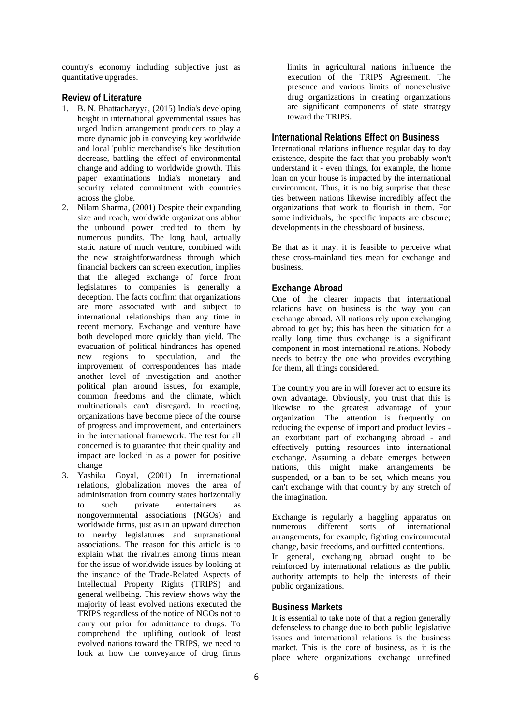country's economy including subjective just as quantitative upgrades.

### **Review of Literature**

- 1. B. N. Bhattacharyya, (2015) India's developing height in international governmental issues has urged Indian arrangement producers to play a more dynamic job in conveying key worldwide and local 'public merchandise's like destitution decrease, battling the effect of environmental change and adding to worldwide growth. This paper examinations India's monetary and security related commitment with countries across the globe.
- 2. Nilam Sharma, (2001) Despite their expanding size and reach, worldwide organizations abhor the unbound power credited to them by numerous pundits. The long haul, actually static nature of much venture, combined with the new straightforwardness through which financial backers can screen execution, implies that the alleged exchange of force from legislatures to companies is generally a deception. The facts confirm that organizations are more associated with and subject to international relationships than any time in recent memory. Exchange and venture have both developed more quickly than yield. The evacuation of political hindrances has opened new regions to speculation, and the improvement of correspondences has made another level of investigation and another political plan around issues, for example, common freedoms and the climate, which multinationals can't disregard. In reacting, organizations have become piece of the course of progress and improvement, and entertainers in the international framework. The test for all concerned is to guarantee that their quality and impact are locked in as a power for positive change.
- 3. Yashika Goyal, (2001) In international relations, globalization moves the area of administration from country states horizontally to such private entertainers as nongovernmental associations (NGOs) and worldwide firms, just as in an upward direction to nearby legislatures and supranational associations. The reason for this article is to explain what the rivalries among firms mean for the issue of worldwide issues by looking at the instance of the Trade-Related Aspects of Intellectual Property Rights (TRIPS) and general wellbeing. This review shows why the majority of least evolved nations executed the TRIPS regardless of the notice of NGOs not to carry out prior for admittance to drugs. To comprehend the uplifting outlook of least evolved nations toward the TRIPS, we need to look at how the conveyance of drug firms

limits in agricultural nations influence the execution of the TRIPS Agreement. The presence and various limits of nonexclusive drug organizations in creating organizations are significant components of state strategy toward the TRIPS.

#### **International Relations Effect on Business**

International relations influence regular day to day existence, despite the fact that you probably won't understand it - even things, for example, the home loan on your house is impacted by the international environment. Thus, it is no big surprise that these ties between nations likewise incredibly affect the organizations that work to flourish in them. For some individuals, the specific impacts are obscure; developments in the chessboard of business.

Be that as it may, it is feasible to perceive what these cross-mainland ties mean for exchange and business.

#### **Exchange Abroad**

One of the clearer impacts that international relations have on business is the way you can exchange abroad. All nations rely upon exchanging abroad to get by; this has been the situation for a really long time thus exchange is a significant component in most international relations. Nobody needs to betray the one who provides everything for them, all things considered.

The country you are in will forever act to ensure its own advantage. Obviously, you trust that this is likewise to the greatest advantage of your organization. The attention is frequently on reducing the expense of import and product levies an exorbitant part of exchanging abroad - and effectively putting resources into international exchange. Assuming a debate emerges between nations, this might make arrangements be suspended, or a ban to be set, which means you can't exchange with that country by any stretch of the imagination.

Exchange is regularly a haggling apparatus on numerous different sorts of international arrangements, for example, fighting environmental change, basic freedoms, and outfitted contentions. In general, exchanging abroad ought to be reinforced by international relations as the public authority attempts to help the interests of their public organizations.

#### **Business Markets**

It is essential to take note of that a region generally defenseless to change due to both public legislative issues and international relations is the business market. This is the core of business, as it is the place where organizations exchange unrefined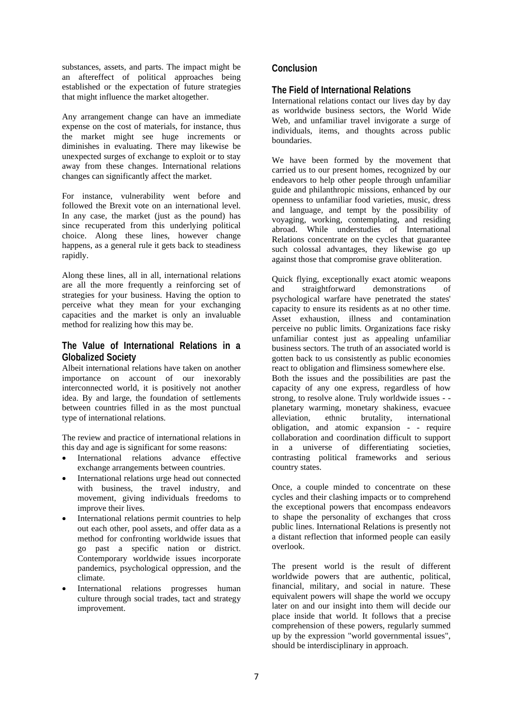substances, assets, and parts. The impact might be an aftereffect of political approaches being established or the expectation of future strategies that might influence the market altogether.

Any arrangement change can have an immediate expense on the cost of materials, for instance, thus the market might see huge increments or diminishes in evaluating. There may likewise be unexpected surges of exchange to exploit or to stay away from these changes. International relations changes can significantly affect the market.

For instance, vulnerability went before and followed the Brexit vote on an international level. In any case, the market (just as the pound) has since recuperated from this underlying political choice. Along these lines, however change happens, as a general rule it gets back to steadiness rapidly.

Along these lines, all in all, international relations are all the more frequently a reinforcing set of strategies for your business. Having the option to perceive what they mean for your exchanging capacities and the market is only an invaluable method for realizing how this may be.

# **The Value of International Relations in a Globalized Society**

Albeit international relations have taken on another importance on account of our inexorably interconnected world, it is positively not another idea. By and large, the foundation of settlements between countries filled in as the most punctual type of international relations.

The review and practice of international relations in this day and age is significant for some reasons:

- International relations advance effective exchange arrangements between countries.
- International relations urge head out connected with business, the travel industry, and movement, giving individuals freedoms to improve their lives.
- International relations permit countries to help out each other, pool assets, and offer data as a method for confronting worldwide issues that go past a specific nation or district. Contemporary worldwide issues incorporate pandemics, psychological oppression, and the climate.
- International relations progresses human culture through social trades, tact and strategy improvement.

# **Conclusion**

## **The Field of International Relations**

International relations contact our lives day by day as worldwide business sectors, the World Wide Web, and unfamiliar travel invigorate a surge of individuals, items, and thoughts across public boundaries.

We have been formed by the movement that carried us to our present homes, recognized by our endeavors to help other people through unfamiliar guide and philanthropic missions, enhanced by our openness to unfamiliar food varieties, music, dress and language, and tempt by the possibility of voyaging, working, contemplating, and residing abroad. While understudies of International Relations concentrate on the cycles that guarantee such colossal advantages, they likewise go up against those that compromise grave obliteration.

Quick flying, exceptionally exact atomic weapons and straightforward demonstrations of psychological warfare have penetrated the states' capacity to ensure its residents as at no other time. Asset exhaustion, illness and contamination perceive no public limits. Organizations face risky unfamiliar contest just as appealing unfamiliar business sectors. The truth of an associated world is gotten back to us consistently as public economies react to obligation and flimsiness somewhere else. Both the issues and the possibilities are past the capacity of any one express, regardless of how strong, to resolve alone. Truly worldwide issues - planetary warming, monetary shakiness, evacuee alleviation, ethnic brutality, international obligation, and atomic expansion - - require collaboration and coordination difficult to support in a universe of differentiating societies, contrasting political frameworks and serious country states.

Once, a couple minded to concentrate on these cycles and their clashing impacts or to comprehend the exceptional powers that encompass endeavors to shape the personality of exchanges that cross public lines. International Relations is presently not a distant reflection that informed people can easily overlook.

The present world is the result of different worldwide powers that are authentic, political, financial, military, and social in nature. These equivalent powers will shape the world we occupy later on and our insight into them will decide our place inside that world. It follows that a precise comprehension of these powers, regularly summed up by the expression "world governmental issues", should be interdisciplinary in approach.